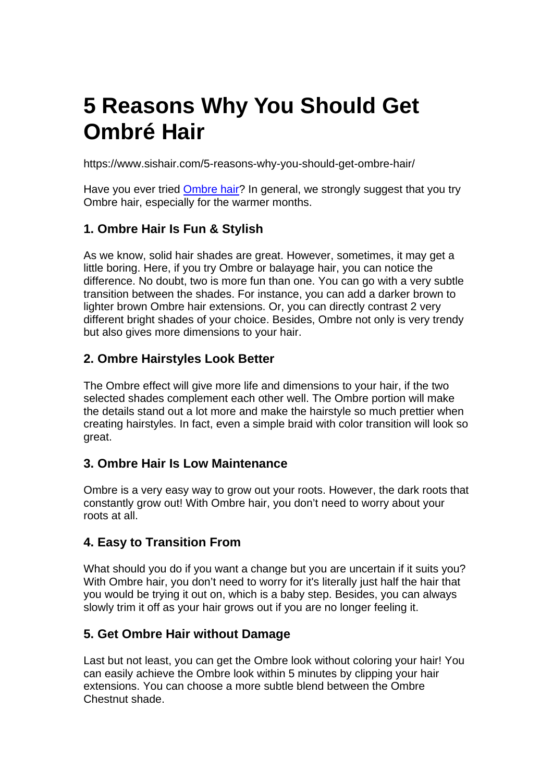# **5 Reasons Why You Should Get Ombré Hair**

https://www.sishair.com/5-reasons-why-you-should-get-ombre-hair/

Have you ever tried [Ombre hair?](https://www.sishair.com/product-category/remy-hair/ombre-remy-hair/) In general, we strongly suggest that you try Ombre hair, especially for the warmer months.

### **1. Ombre Hair Is Fun & Stylish**

As we know, solid hair shades are great. However, sometimes, it may get a little boring. Here, if you try Ombre or balayage hair, you can notice the difference. No doubt, two is more fun than one. You can go with a very subtle transition between the shades. For instance, you can add a darker brown to lighter brown Ombre hair extensions. Or, you can directly contrast 2 very different bright shades of your choice. Besides, Ombre not only is very trendy but also gives more dimensions to your hair.

### **2. Ombre Hairstyles Look Better**

The Ombre effect will give more life and dimensions to your hair, if the two selected shades complement each other well. The Ombre portion will make the details stand out a lot more and make the hairstyle so much prettier when creating hairstyles. In fact, even a simple braid with color transition will look so great.

### **3. Ombre Hair Is Low Maintenance**

Ombre is a very easy way to grow out your roots. However, the dark roots that constantly grow out! With Ombre hair, you don't need to worry about your roots at all.

### **4. Easy to Transition From**

What should you do if you want a change but you are uncertain if it suits you? With Ombre hair, you don't need to worry for it's literally just half the hair that you would be trying it out on, which is a baby step. Besides, you can always slowly trim it off as your hair grows out if you are no longer feeling it.

### **5. Get Ombre Hair without Damage**

Last but not least, you can get the Ombre look without coloring your hair! You can easily achieve the Ombre look within 5 minutes by clipping your hair extensions. You can choose a more subtle blend between the Ombre Chestnut shade.